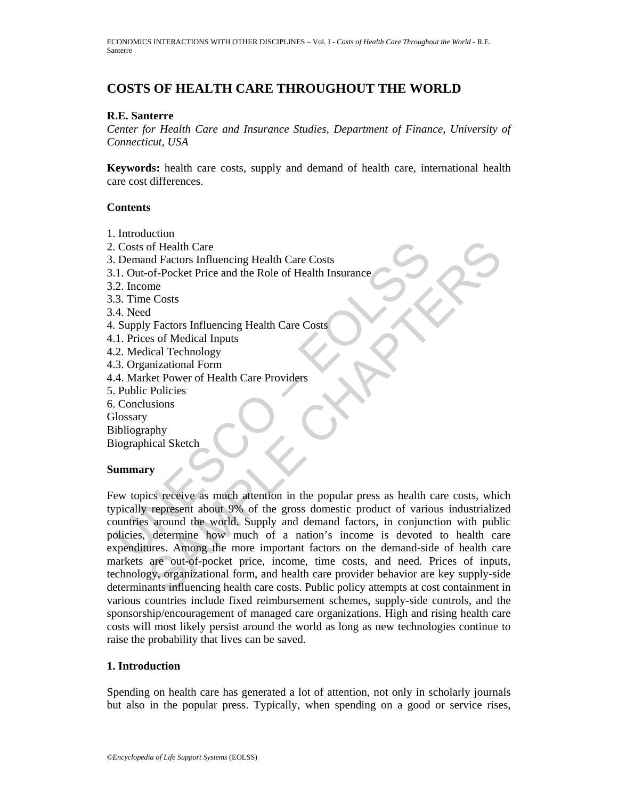# **COSTS OF HEALTH CARE THROUGHOUT THE WORLD**

#### **R.E. Santerre**

*Center for Health Care and Insurance Studies, Department of Finance, University of Connecticut, USA* 

**Keywords:** health care costs, supply and demand of health care, international health care cost differences.

#### **Contents**

- 1. Introduction
- 2. Costs of Health Care
- 3. Demand Factors Influencing Health Care Costs
- 3.1. Out-of-Pocket Price and the Role of Health Insurance
- 3.2. Income
- 3.3. Time Costs
- 3.4. Need
- 4. Supply Factors Influencing Health Care Costs
- 4.1. Prices of Medical Inputs
- 4.2. Medical Technology
- 4.3. Organizational Form
- 4.4. Market Power of Health Care Providers
- 5. Public Policies
- 6. Conclusions
- **Glossary**
- Bibliography

Biographical Sketch

## **Summary**

Costs of Health Care<br>
Costs of Health Care<br>
1. Out-of-Pocket Price and the Role of Health Insurance<br>
2. Income<br>
2. Income<br>
2. Income<br>
3. Time Costs<br>
4. Need<br>
4. Need<br>
4. Need<br>
4. Need<br>
2. Supply Factors Influencing Health of Health Care<br>of - Pocket Price and the Role of Health Insurance<br>of - Pocket Price and the Role of Health Insurance<br>costs<br>me<br>of Medical Inputs<br>cial Technology<br>in Factors Influencing Health Care Costs<br>of Medical Inputs<br>is Few topics receive as much attention in the popular press as health care costs, which typically represent about 9% of the gross domestic product of various industrialized countries around the world. Supply and demand factors, in conjunction with public policies, determine how much of a nation's income is devoted to health care expenditures. Among the more important factors on the demand-side of health care markets are out-of-pocket price, income, time costs, and need. Prices of inputs, technology, organizational form, and health care provider behavior are key supply-side determinants influencing health care costs. Public policy attempts at cost containment in various countries include fixed reimbursement schemes, supply-side controls, and the sponsorship/encouragement of managed care organizations. High and rising health care costs will most likely persist around the world as long as new technologies continue to raise the probability that lives can be saved.

## **1. Introduction**

Spending on health care has generated a lot of attention, not only in scholarly journals but also in the popular press. Typically, when spending on a good or service rises,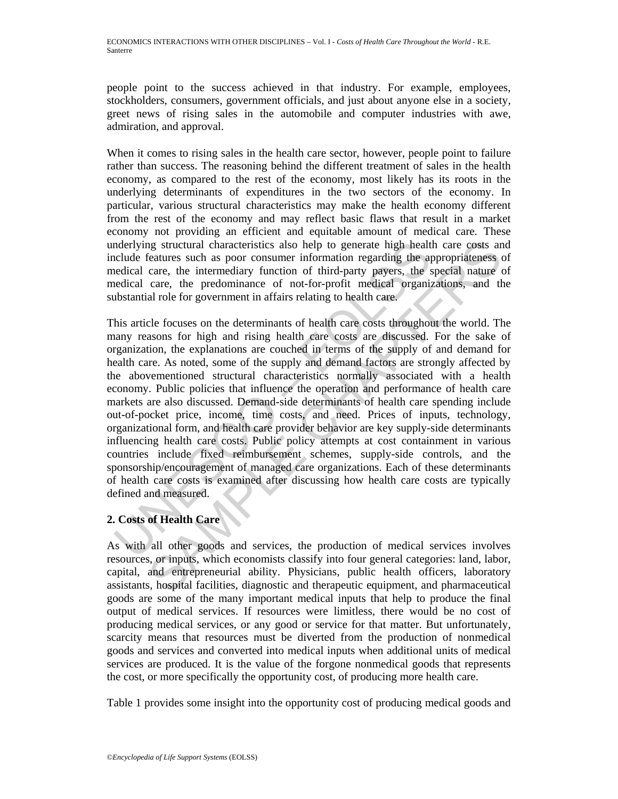people point to the success achieved in that industry. For example, employees, stockholders, consumers, government officials, and just about anyone else in a society, greet news of rising sales in the automobile and computer industries with awe, admiration, and approval.

When it comes to rising sales in the health care sector, however, people point to failure rather than success. The reasoning behind the different treatment of sales in the health economy, as compared to the rest of the economy, most likely has its roots in the underlying determinants of expenditures in the two sectors of the economy. In particular, various structural characteristics may make the health economy different from the rest of the economy and may reflect basic flaws that result in a market economy not providing an efficient and equitable amount of medical care. These underlying structural characteristics also help to generate high health care costs and include features such as poor consumer information regarding the appropriateness of medical care, the intermediary function of third-party payers, the special nature of medical care, the predominance of not-for-profit medical organizations, and the substantial role for government in affairs relating to health care.

molerlying structural characteristics also help to generate high healt<br>clude features such as poor consumer information regarding the apedicial care, the intermediary function of third-party payers, the selectical care, th ig structural characteristics also help to generate high health care costs an<br>eatreatures such as poor consumer information regarding the appropriateness<br>care, the intermediary function of third-party payers, the special n This article focuses on the determinants of health care costs throughout the world. The many reasons for high and rising health care costs are discussed. For the sake of organization, the explanations are couched in terms of the supply of and demand for health care. As noted, some of the supply and demand factors are strongly affected by the abovementioned structural characteristics normally associated with a health economy. Public policies that influence the operation and performance of health care markets are also discussed. Demand-side determinants of health care spending include out-of-pocket price, income, time costs, and need. Prices of inputs, technology, organizational form, and health care provider behavior are key supply-side determinants influencing health care costs. Public policy attempts at cost containment in various countries include fixed reimbursement schemes, supply-side controls, and the sponsorship/encouragement of managed care organizations. Each of these determinants of health care costs is examined after discussing how health care costs are typically defined and measured.

## **2. Costs of Health Care**

As with all other goods and services, the production of medical services involves resources, or inputs, which economists classify into four general categories: land, labor, capital, and entrepreneurial ability. Physicians, public health officers, laboratory assistants, hospital facilities, diagnostic and therapeutic equipment, and pharmaceutical goods are some of the many important medical inputs that help to produce the final output of medical services. If resources were limitless, there would be no cost of producing medical services, or any good or service for that matter. But unfortunately, scarcity means that resources must be diverted from the production of nonmedical goods and services and converted into medical inputs when additional units of medical services are produced. It is the value of the forgone nonmedical goods that represents the cost, or more specifically the opportunity cost, of producing more health care.

Table 1 provides some insight into the opportunity cost of producing medical goods and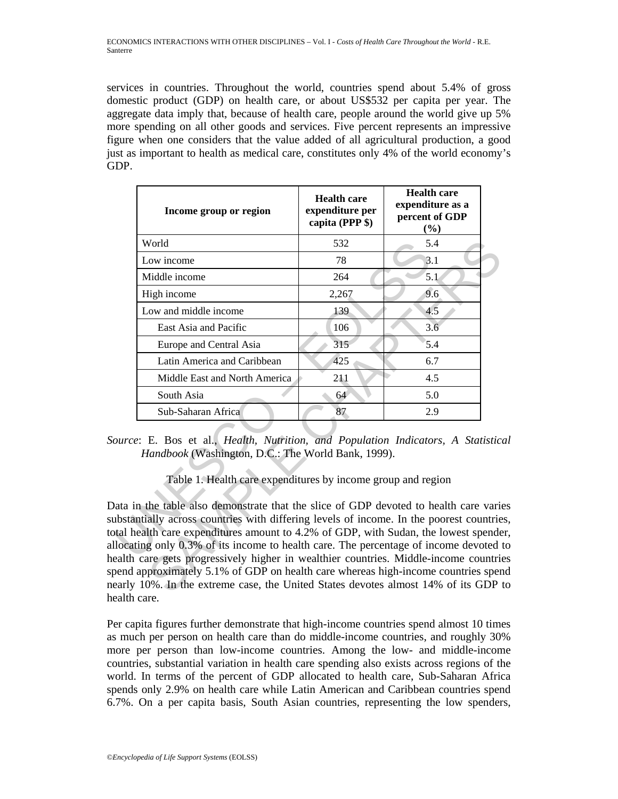services in countries. Throughout the world, countries spend about 5.4% of gross domestic product (GDP) on health care, or about US\$532 per capita per year. The aggregate data imply that, because of health care, people around the world give up 5% more spending on all other goods and services. Five percent represents an impressive figure when one considers that the value added of all agricultural production, a good just as important to health as medical care, constitutes only 4% of the world economy's GDP.

|                                                                                                                                                                                                                                                                                                                                                                                            | Income group or region                                                                                                                                                                                                                                                                                                                                                                                                                       | <b>Health care</b><br>expenditure per<br>capita (PPP \$) | <b>Health care</b><br>expenditure as a<br>percent of GDP<br>(%) |  |
|--------------------------------------------------------------------------------------------------------------------------------------------------------------------------------------------------------------------------------------------------------------------------------------------------------------------------------------------------------------------------------------------|----------------------------------------------------------------------------------------------------------------------------------------------------------------------------------------------------------------------------------------------------------------------------------------------------------------------------------------------------------------------------------------------------------------------------------------------|----------------------------------------------------------|-----------------------------------------------------------------|--|
|                                                                                                                                                                                                                                                                                                                                                                                            | World                                                                                                                                                                                                                                                                                                                                                                                                                                        | 532                                                      | 5.4                                                             |  |
|                                                                                                                                                                                                                                                                                                                                                                                            | Low income                                                                                                                                                                                                                                                                                                                                                                                                                                   | 78                                                       | 3.1                                                             |  |
|                                                                                                                                                                                                                                                                                                                                                                                            | Middle income                                                                                                                                                                                                                                                                                                                                                                                                                                | 264                                                      | 5.1                                                             |  |
|                                                                                                                                                                                                                                                                                                                                                                                            | High income                                                                                                                                                                                                                                                                                                                                                                                                                                  | 2,267                                                    | 9.6                                                             |  |
|                                                                                                                                                                                                                                                                                                                                                                                            | Low and middle income                                                                                                                                                                                                                                                                                                                                                                                                                        | 139                                                      | 4.5                                                             |  |
|                                                                                                                                                                                                                                                                                                                                                                                            | East Asia and Pacific                                                                                                                                                                                                                                                                                                                                                                                                                        | 106                                                      | 3.6                                                             |  |
|                                                                                                                                                                                                                                                                                                                                                                                            | Europe and Central Asia                                                                                                                                                                                                                                                                                                                                                                                                                      | 315                                                      | 5.4                                                             |  |
|                                                                                                                                                                                                                                                                                                                                                                                            | Latin America and Caribbean                                                                                                                                                                                                                                                                                                                                                                                                                  | 425                                                      | 6.7                                                             |  |
|                                                                                                                                                                                                                                                                                                                                                                                            | Middle East and North America                                                                                                                                                                                                                                                                                                                                                                                                                | 211                                                      | 4.5                                                             |  |
|                                                                                                                                                                                                                                                                                                                                                                                            | South Asia                                                                                                                                                                                                                                                                                                                                                                                                                                   | 64                                                       | 5.0                                                             |  |
|                                                                                                                                                                                                                                                                                                                                                                                            | Sub-Saharan Africa                                                                                                                                                                                                                                                                                                                                                                                                                           | 87                                                       | 2.9                                                             |  |
| ource: E. Bos et al., Health, Nutrition, and Population Indicators, A Statistice<br>Handbook (Washington, D.C.: The World Bank, 1999).<br>Table 1. Health care expenditures by income group and region<br>lata in the table also demonstrate that the slice of GDP devoted to health care varies<br>ubstantially across countries with differing levels of income. In the poorest countrie |                                                                                                                                                                                                                                                                                                                                                                                                                                              |                                                          |                                                                 |  |
|                                                                                                                                                                                                                                                                                                                                                                                            | ortal health care expenditures amount to 4.2% of GDP, with Sudan, the lowest spende<br>llocating only 0.3% of its income to health care. The percentage of income devoted t<br>ealth care gets progressively higher in wealthier countries. Middle-income countries<br>bend approximately 5.1% of GDP on health care whereas high-income countries spen<br>early 10%. In the extreme case, the United States devotes almost 14% of its GDP t |                                                          |                                                                 |  |

*Source*: E. Bos et al., *Health, Nutrition, and Population Indicators, A Statistical Handbook* (Washington, D.C.: The World Bank, 1999).

Data in the table also demonstrate that the slice of GDP devoted to health care varies substantially across countries with differing levels of income. In the poorest countries, total health care expenditures amount to 4.2% of GDP, with Sudan, the lowest spender, allocating only 0.3% of its income to health care. The percentage of income devoted to health care gets progressively higher in wealthier countries. Middle-income countries spend approximately 5.1% of GDP on health care whereas high-income countries spend nearly 10%. In the extreme case, the United States devotes almost 14% of its GDP to health care.

Per capita figures further demonstrate that high-income countries spend almost 10 times as much per person on health care than do middle-income countries, and roughly 30% more per person than low-income countries. Among the low- and middle-income countries, substantial variation in health care spending also exists across regions of the world. In terms of the percent of GDP allocated to health care, Sub-Saharan Africa spends only 2.9% on health care while Latin American and Caribbean countries spend 6.7%. On a per capita basis, South Asian countries, representing the low spenders,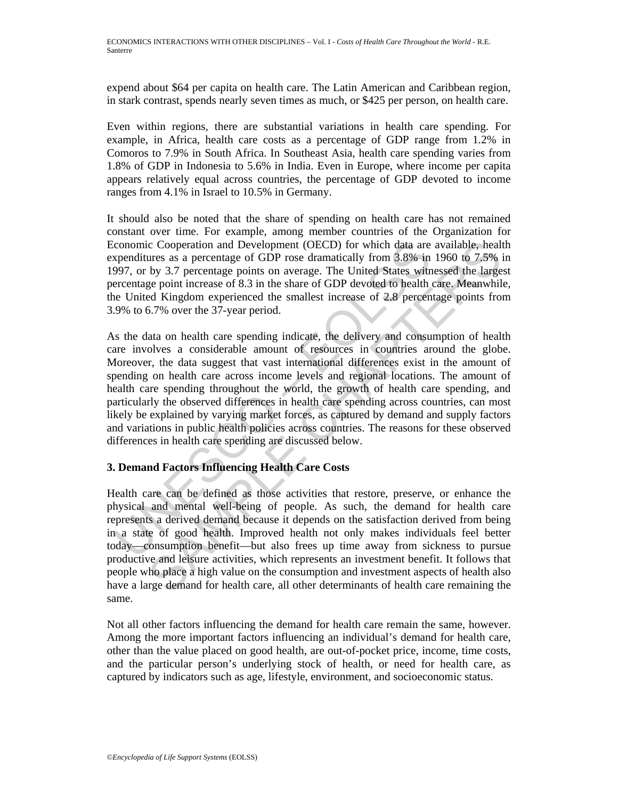expend about \$64 per capita on health care. The Latin American and Caribbean region, in stark contrast, spends nearly seven times as much, or \$425 per person, on health care.

Even within regions, there are substantial variations in health care spending. For example, in Africa, health care costs as a percentage of GDP range from 1.2% in Comoros to 7.9% in South Africa. In Southeast Asia, health care spending varies from 1.8% of GDP in Indonesia to 5.6% in India. Even in Europe, where income per capita appears relatively equal across countries, the percentage of GDP devoted to income ranges from 4.1% in Israel to 10.5% in Germany.

It should also be noted that the share of spending on health care has not remained constant over time. For example, among member countries of the Organization for Economic Cooperation and Development (OECD) for which data are available, health expenditures as a percentage of GDP rose dramatically from 3.8% in 1960 to 7.5% in 1997, or by 3.7 percentage points on average. The United States witnessed the largest percentage point increase of 8.3 in the share of GDP devoted to health care. Meanwhile, the United Kingdom experienced the smallest increase of 2.8 percentage points from 3.9% to 6.7% over the 37-year period.

conomic Cooperation and Development (OECD) for which data are<br>spenditures as a percentage of GDP rose dramatically from 3.8% in<br>997, or by 3.7 percentage points on average. The United States with<br>e-ercentage point increase c Cooperation and Development (OECD) for which data are available, healty<br>sures as a percentage of GDP rose dramatically from 3.8% in 1960 to 7.5%<br>by 3.7 percentage points on average. The United States witnessed the large<br> As the data on health care spending indicate, the delivery and consumption of health care involves a considerable amount of resources in countries around the globe. Moreover, the data suggest that vast international differences exist in the amount of spending on health care across income levels and regional locations. The amount of health care spending throughout the world, the growth of health care spending, and particularly the observed differences in health care spending across countries, can most likely be explained by varying market forces, as captured by demand and supply factors and variations in public health policies across countries. The reasons for these observed differences in health care spending are discussed below.

## **3. Demand Factors Influencing Health Care Costs**

Health care can be defined as those activities that restore, preserve, or enhance the physical and mental well-being of people. As such, the demand for health care represents a derived demand because it depends on the satisfaction derived from being in a state of good health. Improved health not only makes individuals feel better today—consumption benefit—but also frees up time away from sickness to pursue productive and leisure activities, which represents an investment benefit. It follows that people who place a high value on the consumption and investment aspects of health also have a large demand for health care, all other determinants of health care remaining the same.

Not all other factors influencing the demand for health care remain the same, however. Among the more important factors influencing an individual's demand for health care, other than the value placed on good health, are out-of-pocket price, income, time costs, and the particular person's underlying stock of health, or need for health care, as captured by indicators such as age, lifestyle, environment, and socioeconomic status.